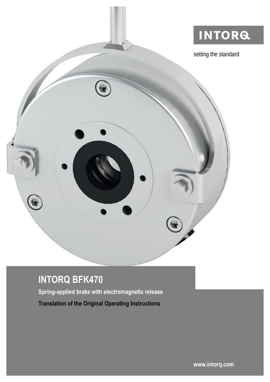

# **INTORQ BFK470**

**Spring-applied brake with electromagnetic release Translation of the Original Operating Instructions**

**[www.intorq.com](http://www.intorq.com)**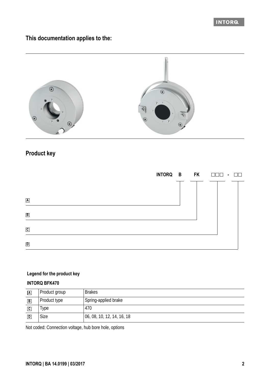### INTORA

**This documentation applies to the:**



# **Product key**

|                         |  | INTORQ B FK $\Box \Box \Box$ $\Box \Box$ |
|-------------------------|--|------------------------------------------|
|                         |  |                                          |
| $\overline{\mathbf{A}}$ |  |                                          |
| $\, {\bf B} \,$         |  |                                          |
| $\mathbf{c}$            |  |                                          |
| $\mathbf{D}$            |  |                                          |

### **Legend for the product key**

### **INTORQ BFK470**

| $\overline{A}$ | Product group | <b>Brakes</b>              |
|----------------|---------------|----------------------------|
| $\overline{B}$ | Product type  | Spring-applied brake       |
| $\mathbf c$    | Гуре          | 470                        |
| $\overline{D}$ | Size          | 06, 08, 10, 12, 14, 16, 18 |

Not coded: Connection voltage, hub bore hole, options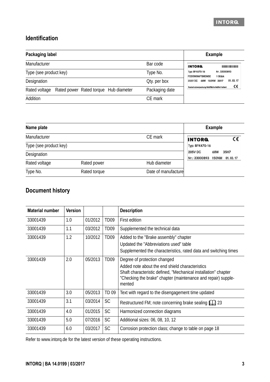### **Identification**

| Packaging label                                        |                | <b>Example</b>                                                       |
|--------------------------------------------------------|----------------|----------------------------------------------------------------------|
| Manufacturer                                           | Bar code       | <b>INTORG.</b>                                                       |
| Type (see product key)                                 | Type No.       | Typ: BFK470-16<br>Nr. 33000893<br><b>FEDERKRAFTBREMSE</b><br>1 Stück |
| Designation                                            | Oty. per box   | 01.03.17<br>150NM 35H7<br>205V DC<br>68W                             |
| Rated voltage<br>Rated power Rated torque Hub diameter | Packaging date | C٤<br>Rostechutzverpackung-Reibfläche fettfrei halten!               |
| Addition                                               | CF mark        |                                                                      |

| Name plate             |                |                     | <b>Example</b>                                                |
|------------------------|----------------|---------------------|---------------------------------------------------------------|
| Manufacturer           | <b>INTORG.</b> |                     |                                                               |
| Type (see product key) |                |                     | Typ: BFK470-16                                                |
| Designation            |                |                     | <b>205V DC</b><br>35H7<br>68W<br>Nr.: 33000893 150NM 01.03.17 |
| Rated voltage          | Rated power    | Hub diameter        |                                                               |
| Type No.               | Rated torque   | Date of manufacture |                                                               |

### **Document history**

| <b>Material number</b> | <b>Version</b> |         |                  | <b>Description</b>                                                                                                                                                                                                            |
|------------------------|----------------|---------|------------------|-------------------------------------------------------------------------------------------------------------------------------------------------------------------------------------------------------------------------------|
| 33001439               | 1.0            | 01/2012 | TD <sub>09</sub> | First edition                                                                                                                                                                                                                 |
| 33001439               | 1.1            | 03/2012 | TD <sub>09</sub> | Supplemented the technical data                                                                                                                                                                                               |
| 33001439               | 1.2            | 10/2012 | TD <sub>09</sub> | Added to the "Brake assembly" chapter<br>Updated the "Abbreviations used" table<br>Supplemented the characteristics, rated data and switching times                                                                           |
| 33001439               | 2.0            | 05/2013 | TD <sub>09</sub> | Degree of protection changed<br>Added note about the end shield characteristics<br>Shaft characteristic defined, "Mechanical installation" chapter<br>"Checking the brake" chapter (maintenance and repair) supple-<br>mented |
| 33001439               | 3.0            | 05/2013 | TD 09            | Text with regard to the disengagement time updated                                                                                                                                                                            |
| 33001439               | 3.1            | 03/2014 | <b>SC</b>        | Restructured FM; note concerning brake sealing [11] 23                                                                                                                                                                        |
| 33001439               | 4.0            | 01/2015 | <b>SC</b>        | Harmonized connection diagrams                                                                                                                                                                                                |
| 33001439               | 5.0            | 07/2016 | <b>SC</b>        | Additional sizes: 06, 08, 10, 12                                                                                                                                                                                              |
| 33001439               | 6.0            | 03/2017 | <b>SC</b>        | Corrosion protection class; change to table on page 18                                                                                                                                                                        |

Refer to www.intorq.de for the latest version of these operating instructions.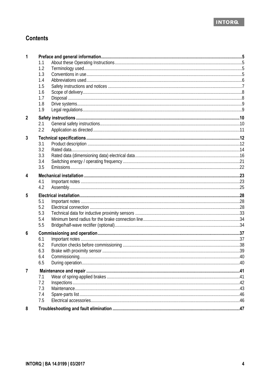

### **Contents**

| 1 |     |  |
|---|-----|--|
|   | 1.1 |  |
|   | 1.2 |  |
|   | 1.3 |  |
|   | 1.4 |  |
|   | 1.5 |  |
|   | 1.6 |  |
|   | 1.7 |  |
|   | 1.8 |  |
|   | 1.9 |  |
| 2 |     |  |
|   | 2.1 |  |
|   | 2.2 |  |
| 3 |     |  |
|   | 3.1 |  |
|   | 3.2 |  |
|   | 3.3 |  |
|   | 3.4 |  |
|   | 3.5 |  |
| 4 |     |  |
|   | 4.1 |  |
|   | 4.2 |  |
| 5 |     |  |
|   | 5.1 |  |
|   | 5.2 |  |
|   | 5.3 |  |
|   | 5.4 |  |
|   | 5.5 |  |
| 6 |     |  |
|   | 6.1 |  |
|   | 6.2 |  |
|   | 6.3 |  |
|   | 64  |  |
|   | 6.5 |  |
| 7 |     |  |
|   | 7.1 |  |
|   | 7.2 |  |
|   | 7.3 |  |
|   | 7.4 |  |
|   | 7.5 |  |
| 8 |     |  |
|   |     |  |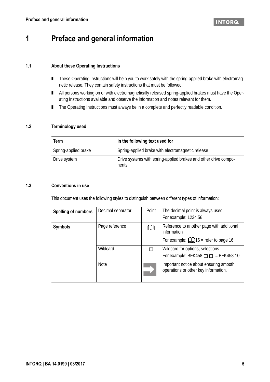# **1 Preface and general information**

### **1.1 About these Operating Instructions**

- These Operating Instructions will help you to work safely with the spring-applied brake with electromagnetic release. They contain safety instructions that must be followed.
- All persons working on or with electromagnetically released spring-applied brakes must have the Operating Instructions available and observe the information and notes relevant for them.
- The Operating Instructions must always be in a complete and perfectly readable condition.

### **1.2 Terminology used**

| Term                 | In the following text used for                                           |
|----------------------|--------------------------------------------------------------------------|
| Spring-applied brake | Spring-applied brake with electromagnetic release                        |
| Drive system         | Drive systems with spring-applied brakes and other drive compo-<br>nents |

### **1.3 Conventions in use**

This document uses the following styles to distinguish between different types of information:

| <b>Spelling of numbers</b> | Decimal separator | Point | The decimal point is always used.<br>For example: 1234.56                                             |
|----------------------------|-------------------|-------|-------------------------------------------------------------------------------------------------------|
| <b>Symbols</b>             | Page reference    | Щ     | Reference to another page with additional<br>information<br>For example: $\Box$ 16 = refer to page 16 |
|                            | Wildcard          | Г     | Wildcard for options, selections<br>For example: BFK458- $\Box$ = BFK458-10                           |
|                            | <b>Note</b>       |       | Important notice about ensuring smooth<br>operations or other key information.                        |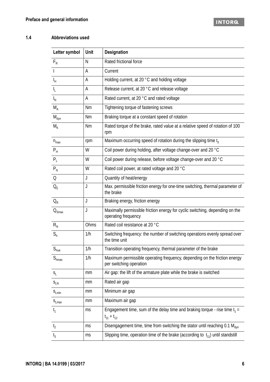### **1.4 Abbreviations used**

| Letter symbol                | <b>Unit</b> | <b>Designation</b>                                                                                   |
|------------------------------|-------------|------------------------------------------------------------------------------------------------------|
| $F_R$                        | N           | Rated frictional force                                                                               |
| $\mathbf{I}$                 | Α           | Current                                                                                              |
| IH.                          | A           | Holding current, at 20 °C and holding voltage                                                        |
| $I_{L}$                      | Α           | Release current, at 20 °C and release voltage                                                        |
| $I_{N}$                      | А           | Rated current, at 20 °C and rated voltage                                                            |
| $M_A$                        | <b>Nm</b>   | Tightening torque of fastening screws                                                                |
| $M_{dyn}$                    | Nm          | Braking torque at a constant speed of rotation                                                       |
| $M_{K}$                      | <b>Nm</b>   | Rated torque of the brake, rated value at a relative speed of rotation of 100<br>rpm                 |
| $n_{max}$                    | rpm         | Maximum occurring speed of rotation during the slipping time $t_3$                                   |
| $P_{H}$                      | W           | Coil power during holding, after voltage change-over and 20 °C                                       |
| $P_L$                        | W           | Coil power during release, before voltage change-over and 20 °C                                      |
| $P_{N}$                      | W           | Rated coil power, at rated voltage and 20 °C                                                         |
| Q                            | J           | Quantity of heat/energy                                                                              |
| $Q_F$                        | J           | Max. permissible friction energy for one-time switching, thermal parameter of<br>the brake           |
| $Q_R$                        | J           | Braking energy, friction energy                                                                      |
| $\mathsf{Q}_{\mathsf{Smax}}$ | J           | Maximally permissible friction energy for cyclic switching, depending on the<br>operating frequency  |
| $R_{N}$                      | Ohms        | Rated coil resistance at 20 °C                                                                       |
| $S_h$                        | 1/h         | Switching frequency: the number of switching operations evenly spread over<br>the time unit          |
| $S_{\text{hue}}$             | 1/h         | Transition operating frequency, thermal parameter of the brake                                       |
| $S_{\rm{hmax}}$              | 1/h         | Maximum permissible operating frequency, depending on the friction energy<br>per switching operation |
| $S_{L}$                      | mm          | Air gap: the lift of the armature plate while the brake is switched                                  |
| $S_{LN}$                     | mm          | Rated air gap                                                                                        |
| $S_{Lmin}$                   | mm          | Minimum air gap                                                                                      |
| $S_{Lmax}$                   | mm          | Maximum air qap                                                                                      |
| t <sub>1</sub>               | ms          | Engagement time, sum of the delay time and braking torque - rise time $t_1 =$<br>$t_{11} + t_{12}$   |
| t <sub>2</sub>               | ms          | Disengagement time, time from switching the stator until reaching 0.1 M <sub>dyn</sub>               |
| $t_3$                        | ms          | Slipping time, operation time of the brake (according to $t_{11}$ ) until standstill                 |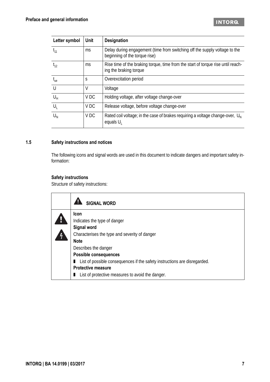| Letter symbol | Unit            | <b>Designation</b>                                                                                          |
|---------------|-----------------|-------------------------------------------------------------------------------------------------------------|
| $t_{11}$      | ms              | Delay during engagement (time from switching off the supply voltage to the<br>beginning of the torque rise) |
| $t_{12}$      | ms              | Rise time of the braking torque, time from the start of torque rise until reach-<br>ing the braking torque  |
| $t_{ue}$      | S               | Overexcitation period                                                                                       |
| U             | V               | Voltage                                                                                                     |
| $U_{H}$       | V <sub>DC</sub> | Holding voltage, after voltage change-over                                                                  |
| $U_1$         | V <sub>DC</sub> | Release voltage, before voltage change-over                                                                 |
| $U_{N}$       | V <sub>DC</sub> | Rated coil voltage; in the case of brakes requiring a voltage change-over, $U_{N}$<br>equals U <sub>1</sub> |

### **1.5 Safety instructions and notices**

The following icons and signal words are used in this document to indicate dangers and important safety information:

### **Safety instructions**

Structure of safety instructions:

| <b>SIGNAL WORD</b>                                                        |  |  |  |  |
|---------------------------------------------------------------------------|--|--|--|--|
| <b>Icon</b>                                                               |  |  |  |  |
| Indicates the type of danger                                              |  |  |  |  |
| <b>Signal word</b>                                                        |  |  |  |  |
| Characterises the type and severity of danger                             |  |  |  |  |
| <b>Note</b>                                                               |  |  |  |  |
| Describes the danger                                                      |  |  |  |  |
| <b>Possible consequences</b>                                              |  |  |  |  |
| List of possible consequences if the safety instructions are disregarded. |  |  |  |  |
| <b>Protective measure</b>                                                 |  |  |  |  |
| List of protective measures to avoid the danger.                          |  |  |  |  |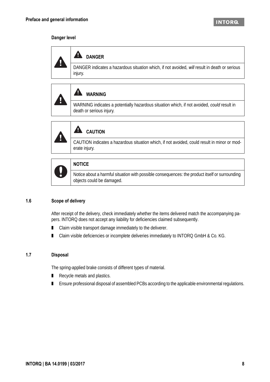### **Danger level**





WARNING indicates a potentially hazardous situation which, if not avoided, *could* result in death or serious injury.



#### A  **CAUTION**

CAUTION indicates a hazardous situation which, if not avoided, could result in minor or moderate injury.



### **NOTICE**

Notice about a harmful situation with possible consequences: the product itself or surrounding objects could be damaged.

### **1.6 Scope of delivery**

After receipt of the delivery, check immediately whether the items delivered match the accompanying papers. INTORQ does not accept any liability for deficiencies claimed subsequently.

- Claim visible transport damage immediately to the deliverer.
- Claim visible deficiencies or incomplete deliveries immediately to INTORQ GmbH & Co. KG.

### **1.7 Disposal**

The spring-applied brake consists of different types of material.

- Recycle metals and plastics.
- Ensure professional disposal of assembled PCBs according to the applicable environmental regulations.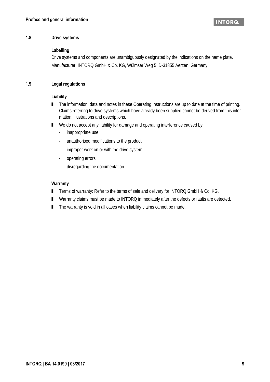### **1.8 Drive systems**

### **Labelling**

Drive systems and components are unambiguously designated by the indications on the name plate. Manufacturer: INTORQ GmbH & Co. KG, Wülmser Weg 5, D-31855 Aerzen, Germany

### **1.9 Legal regulations**

### **Liability**

- The information, data and notes in these Operating Instructions are up to date at the time of printing. Claims referring to drive systems which have already been supplied cannot be derived from this information, illustrations and descriptions.
- We do not accept any liability for damage and operating interference caused by:
	- inappropriate use
	- unauthorised modifications to the product
	- improper work on or with the drive system
	- operating errors
	- disregarding the documentation

### **Warranty**

- Terms of warranty: Refer to the terms of sale and delivery for INTORQ GmbH & Co. KG.
- Warranty claims must be made to INTORQ immediately after the defects or faults are detected.
- The warranty is void in all cases when liability claims cannot be made.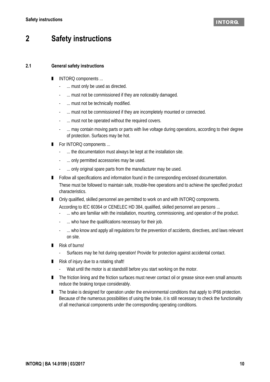# **2 Safety instructions**

### **2.1 General safety instructions**

- INTORQ components ...
	- ... must only be used as directed.
	- ... must not be commissioned if they are noticeably damaged.
	- ... must not be technically modified.
	- ... must not be commissioned if they are incompletely mounted or connected.
	- ... must not be operated without the required covers.
	- ... may contain moving parts or parts with live voltage during operations, according to their degree of protection. Surfaces may be hot.
- For INTORQ components ...
	- ... the documentation must always be kept at the installation site.
	- ... only permitted accessories may be used.
	- ... only original spare parts from the manufacturer may be used.
- Follow all specifications and information found in the corresponding enclosed documentation. These must be followed to maintain safe, trouble-free operations and to achieve the specified product characteristics.
- Only qualified, skilled personnel are permitted to work on and with INTORQ components.
	- According to IEC 60364 or CENELEC HD 384, qualified, skilled personnel are persons ...
	- ... who are familiar with the installation, mounting, commissioning, and operation of the product.
	- ... who have the qualifications necessary for their job.
	- ... who know and apply all regulations for the prevention of accidents, directives, and laws relevant on site.
- Risk of burns!
	- Surfaces may be hot during operation! Provide for protection against accidental contact.
- Risk of injury due to a rotating shaft!
	- Wait until the motor is at standstill before you start working on the motor.
- The friction lining and the friction surfaces must never contact oil or grease since even small amounts reduce the braking torque considerably.
- The brake is designed for operation under the environmental conditions that apply to IP66 protection. Because of the numerous possibilities of using the brake, it is still necessary to check the functionality of all mechanical components under the corresponding operating conditions.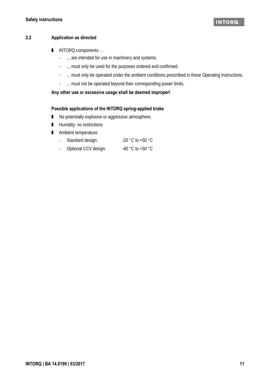### **2.2 Application as directed**

- INTORQ components ...
	- ... are intended for use in machinery and systems.
	- ... must only be used for the purposes ordered and confirmed.
	- ... must only be operated under the ambient conditions prescribed in these Operating Instructions.
	- ... must not be operated beyond their corresponding power limits.

### **Any other use or excessive usage shall be deemed improper!**

### **Possible applications of the INTORQ spring-applied brake**

- No potentially explosive or aggressive atmosphere.
- Humidity: no restrictions
- Ambient temperature:
	- Standard design: -20 °C to +50 °C
	- Optional CCV design: -40 °C to +50 °C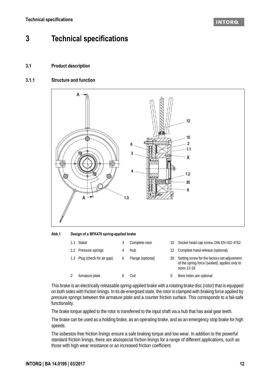### **INTORG**

# **3 Technical specifications**

### **3.1 Product description**

### **3.1.1 Structure and function**



<span id="page-11-0"></span>**Abb.1 Design of a BFK470 spring-applied brake**

| 1.1 | Stator                       | Complete rotor    | 10. | Socket head cap screw, DIN EN ISO 4762                                                                       |
|-----|------------------------------|-------------------|-----|--------------------------------------------------------------------------------------------------------------|
|     | 1.2 Pressure springs         | Hub               |     | Complete hand-release (optional)                                                                             |
|     | 1.3 Plug (check for air gap) | Flange (optional) | 30  | Setting screw for the factory-set adjustment<br>of the spring force (sealed), applies only to<br>sizes 12-18 |
|     | Armature plate               | Coil              |     | Bore holes are optional                                                                                      |

This brake is an electrically releasable spring-applied brake with a rotating brake disc (rotor) that is equipped on both sides with friction linings. In its de-energised state, the rotor is clamped with braking force applied by pressure springs between the armature plate and a counter friction surface. This corresponds to a fail-safe functionality.

The brake torque applied to the rotor is transferred to the input shaft via a hub that has axial gear teeth.

The brake can be used as a holding brake, as an operating brake, and as an emergency stop brake for high speeds.

The asbestos-free friction linings ensure a safe braking torque and low wear. In addition to the powerful standard friction linings, there are alsospecial friction linings for a range of different applications, such as those with high wear resistance or an increased friction coefficient.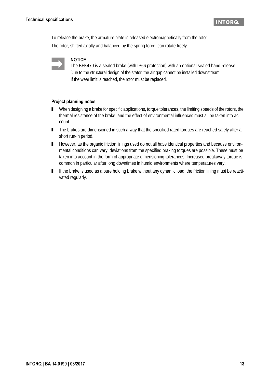To release the brake, the armature plate is released electromagnetically from the rotor.

The rotor, shifted axially and balanced by the spring force, can rotate freely.



### **NOTICE**

The BFK470 is a sealed brake (with IP66 protection) with an optional sealed hand-release. Due to the structural design of the stator, the air gap cannot be installed downstream. If the wear limit is reached, the rotor must be replaced.

### **Project planning notes**

- When designing a brake for specific applications, torque tolerances, the limiting speeds of the rotors, the thermal resistance of the brake, and the effect of environmental influences must all be taken into account.
- The brakes are dimensioned in such a way that the specified rated torques are reached safely after a short run-in period.
- However, as the organic friction linings used do not all have identical properties and because environmental conditions can vary, deviations from the specified braking torques are possible. These must be taken into account in the form of appropriate dimensioning tolerances. Increased breakaway torque is common in particular after long downtimes in humid environments where temperatures vary.
- If the brake is used as a pure holding brake without any dynamic load, the friction lining must be reactivated regularly.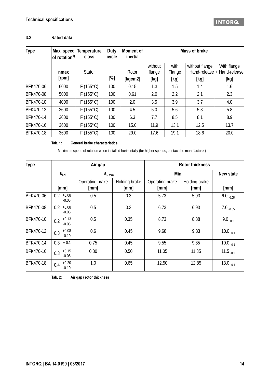### **3.2 Rated data**

| <b>Type</b> | of rotation <sup>1)</sup> | Max. speed Temperature<br>class | <b>Duty</b><br>cycle | Moment of<br>inertia | <b>Mass of brake</b> |                |                |                                              |
|-------------|---------------------------|---------------------------------|----------------------|----------------------|----------------------|----------------|----------------|----------------------------------------------|
|             | nmax                      | <b>Stator</b>                   |                      | Rotor                | without<br>flange    | with<br>Flange | without flange | With flange<br>+ Hand-release + Hand-release |
|             | [rpm]                     |                                 | [%]                  | [kgcm2]              | [kg]                 | [kg]           | [kg]           | [kg]                                         |
| BFK470-06   | 6000                      | $F(155^{\circ}C)$               | 100                  | 0.15                 | 1.3                  | 1.5            | 1.4            | 1.6                                          |
| BFK470-08   | 5000                      | $F(155^{\circ}C)$               | 100                  | 0.61                 | 2.0                  | 2.2            | 2.1            | 2.3                                          |
| BFK470-10   | 4000                      | $F(155^{\circ}C)$               | 100                  | 2.0                  | 3.5                  | 3.9            | 3.7            | 4.0                                          |
| BFK470-12   | 3600                      | $F(155^{\circ}C)$               | 100                  | 4.5                  | 5.0                  | 5.6            | 5.3            | 5.8                                          |
| BFK470-14   | 3600                      | $F(155^{\circ}C)$               | 100                  | 6.3                  | 7.7                  | 8.5            | 8.1            | 8.9                                          |
| BFK470-16   | 3600                      | $F(155^{\circ}C)$               | 100                  | 15.0                 | 11.9                 | 13.1           | 12.5           | 13.7                                         |
| BFK470-18   | 3600                      | $F(155^{\circ}C)$               | 100                  | 29.0                 | 17.6                 | 19.1           | 18.6           | 20.0                                         |

### **Tab. 1: General brake characteristics**

<span id="page-13-1"></span><span id="page-13-0"></span>1) Maximum speed of rotation when installed horizontally (for higher speeds, contact the manufacturer)

| <b>Type</b> | Air gap                   |                         |                       | <b>Rotor thickness</b>  |                       |                  |  |
|-------------|---------------------------|-------------------------|-----------------------|-------------------------|-----------------------|------------------|--|
|             | $S_{LN}$                  | $S_{L \max}$            |                       | Min.                    | New state             |                  |  |
|             | [mm]                      | Operating brake<br>[mm] | Holding brake<br>[mm] | Operating brake<br>[mm] | Holding brake<br>[mm] | [mm]             |  |
| BFK470-06   | $+0.08$<br>0.2<br>$-0.05$ | 0.5                     | 0.3                   | 5.73                    | 5.93                  | $6.0_{-0.05}$    |  |
| BFK470-08   | 0.2<br>$+0.08$<br>$-0.05$ | 0.5                     | 0.3                   | 6.73                    | 6.93                  | $7.0$ $_{-0.05}$ |  |
| BFK470-10   | $+0.13$<br>0.2<br>$-0.05$ | 0.5                     | 0.35                  | 8.73                    | 8.88                  | $9.0_{-0.1}$     |  |
| BFK470-12   | $+0.08$<br>0.3<br>$-0.10$ | 0.6                     | 0.45                  | 9.68                    | 9.83                  | $10.0_{-0.1}$    |  |
| BFK470-14   | 0.3<br>± 0.1              | 0.75                    | 0.45                  | 9.55                    | 9.85                  | $10.0_{-0.1}$    |  |
| BFK470-16   | $+0.15$<br>0.3<br>$-0.05$ | 0.80                    | 0.50                  | 11.05                   | 11.35                 | 11.5 $_{-0.1}$   |  |
| BFK470-18   | $+0.20$<br>0.4<br>$-0.10$ | 1.0                     | 0.65                  | 12.50                   | 12.85                 | $13.0_{-0.1}$    |  |

**Tab. 2: Air gap / rotor thickness**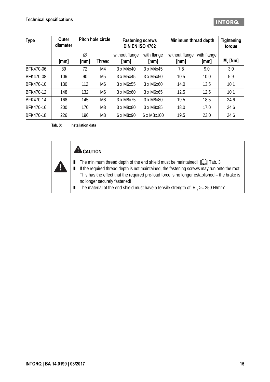<span id="page-14-1"></span>

| <b>Type</b> | Outer<br>diameter |           | Pitch hole circle | <b>Fastening screws</b><br><b>DIN EN ISO 4762</b> |                     | Minimum thread depth   |                     | <b>Tightening</b><br>torque |
|-------------|-------------------|-----------|-------------------|---------------------------------------------------|---------------------|------------------------|---------------------|-----------------------------|
|             | [mm]              | Ø<br>[mm] | Thread            | without flange<br>[mm]                            | with flange<br>[mm] | without flange<br>[mm] | with flange<br>[mm] | $M_a$ [Nm]                  |
| BFK470-06   | 89                | 72        | M4                | 3 x M4x40                                         | 3 x M4x45           | 7.5                    | 9.0                 | 3.0                         |
| BFK470-08   | 106               | 90        | M <sub>5</sub>    | 3 x M5x45                                         | 3 x M5x50           | 10.5                   | 10.0                | 5.9                         |
| BFK470-10   | 130               | 112       | M <sub>6</sub>    | 3 x M6x55                                         | 3 x M6x60           | 14.0                   | 13.5                | 10.1                        |
| BFK470-12   | 148               | 132       | M <sub>6</sub>    | 3 x M6x60                                         | 3 x M6x65           | 12.5                   | 12.5                | 10.1                        |
| BFK470-14   | 168               | 145       | M <sub>8</sub>    | 3 x M8x75                                         | 3 x M8x80           | 19.5                   | 18.5                | 24.6                        |
| BFK470-16   | 200               | 170       | M <sub>8</sub>    | 3 x M8x80                                         | 3 x M8x85           | 18.0                   | 17.0                | 24.6                        |
| BFK470-18   | 226               | 196       | M <sub>8</sub>    | 6 x M8x90                                         | 6 x M8x100          | 19.5                   | 23.0                | 24.6                        |

<span id="page-14-0"></span>**Tab. 3: Installation data**

ŋ

<span id="page-14-2"></span>

- $\blacksquare$  The minimum thread depth of the end shield must be maintained!  $\Box$  Tab. [3](#page-14-0).
- If the required thread depth is not maintained, the fastening screws may run onto the root. This has the effect that the required pre-load force is no longer established – the brake is no longer securely fastened!
- **The material of the end shield must have a tensile strength of**  $R_m > = 250$  **N/mm<sup>2</sup>.**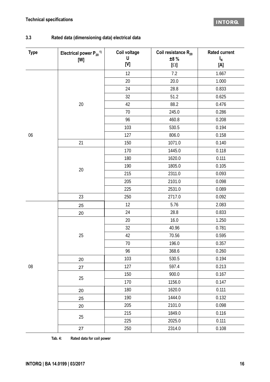### **Technical specifications**

### **3.3 Rated data (dimensioning data) electrical data**

| <b>Type</b> | Electrical power $P_{20}$ <sup>1)</sup><br>[W] | Coil voltage<br>U<br>[V] | Coil resistance $R_{20}$<br>±8 %<br>$[\Omega]$ | <b>Rated current</b><br>$I_N$<br>[A] |
|-------------|------------------------------------------------|--------------------------|------------------------------------------------|--------------------------------------|
|             |                                                | 12                       | 7.2                                            | 1.667                                |
|             |                                                | 20                       | 20.0                                           | 1.000                                |
|             |                                                | 24                       | 28.8                                           | 0.833                                |
|             |                                                | 32                       | 51.2                                           | 0.625                                |
|             | $20\,$                                         | 42                       | 88.2                                           | 0.476                                |
|             |                                                | 70                       | 245.0                                          | 0.286                                |
|             |                                                | 96                       | 460.8                                          | 0.208                                |
|             |                                                | 103                      | 530.5                                          | 0.194                                |
| 06          |                                                | 127                      | 806.0                                          | 0.158                                |
|             | 21                                             | 150                      | 1071.0                                         | 0.140                                |
|             |                                                | 170                      | 1445.0                                         | 0.118                                |
|             |                                                | 180                      | 1620.0                                         | 0.111                                |
|             | $20\,$                                         | 190                      | 1805.0                                         | 0.105                                |
|             |                                                | 215                      | 2311.0                                         | 0.093                                |
|             |                                                | 205                      | 2101.0                                         | 0.098                                |
|             |                                                | 225                      | 2531.0                                         | 0.089                                |
|             | 23                                             | 250                      | 2717.0                                         | 0.092                                |
|             | 25                                             | 12                       | 5.76                                           | 2.083                                |
|             | 20                                             | 24                       | 28.8                                           | 0.833                                |
|             |                                                | 20                       | 16.0                                           | 1.250                                |
|             |                                                | 32                       | 40.96                                          | 0.781                                |
|             | 25                                             | 42                       | 70.56                                          | 0.595                                |
|             |                                                | 70                       | 196.0                                          | 0.357                                |
|             |                                                | 96                       | 368.6                                          | 0.260                                |
|             | 20                                             | 103                      | 530.5                                          | 0.194                                |
| $08\,$      | 27                                             | 127                      | 597.4                                          | 0.213                                |
|             | 25                                             | 150                      | 900.0                                          | 0.167                                |
|             |                                                | 170                      | 1156.0                                         | 0.147                                |
|             | 20                                             | 180                      | 1620.0                                         | 0.111                                |
|             | 25                                             | 190                      | 1444.0                                         | 0.132                                |
|             | 20                                             | 205                      | 2101.0                                         | 0.098                                |
|             |                                                | 215                      | 1849.0                                         | 0.116                                |
|             | 25                                             | 225                      | 2025.0                                         | 0.111                                |
|             | 27                                             | 250                      | 2314.0                                         | 0.108                                |

<span id="page-15-0"></span>**Tab. 4: Rated data for coil power**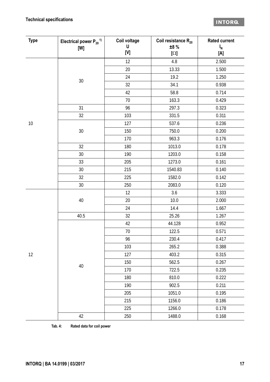### **Technical specifications**

| <b>Type</b> | Electrical power $P_{20}$ <sup>1)</sup> | Coil voltage                                                                                                                                                                                      | Coil resistance $R_{20}$ | <b>Rated current</b>     |
|-------------|-----------------------------------------|---------------------------------------------------------------------------------------------------------------------------------------------------------------------------------------------------|--------------------------|--------------------------|
|             | [W]                                     | U<br>$[{\mathsf{V}}] % \centering \includegraphics[width=\textwidth]{images/Traj_2.pdf} \caption{The figure shows the results of the estimators in the left and right.} \label{fig:Traj_2.pdf} %$ | ±8%<br>$[\Omega]$        | $I_N$<br>$[{\mathsf A}]$ |
|             |                                         | 12                                                                                                                                                                                                | 4.8                      | 2.500                    |
|             |                                         | 20                                                                                                                                                                                                | 13.33                    | 1.500                    |
|             |                                         | 24                                                                                                                                                                                                | 19.2                     | 1.250                    |
|             | $30\,$                                  | 32                                                                                                                                                                                                | 34.1                     | 0.938                    |
|             |                                         | 42                                                                                                                                                                                                | 58.8                     | 0.714                    |
|             |                                         | 70                                                                                                                                                                                                | 163.3                    | 0.429                    |
|             | 31                                      | 96                                                                                                                                                                                                | 297.3                    | 0.323                    |
|             | 32                                      | 103                                                                                                                                                                                               | 331.5                    | 0.311                    |
| $10$        |                                         | 127                                                                                                                                                                                               | 537.6                    | 0.236                    |
|             | $30\,$                                  | 150                                                                                                                                                                                               | 750.0                    | 0.200                    |
|             |                                         | 170                                                                                                                                                                                               | 963.3                    | 0.176                    |
|             | 32                                      | 180                                                                                                                                                                                               | 1013.0                   | 0.178                    |
|             | 30                                      | 190                                                                                                                                                                                               | 1203.0                   | 0.158                    |
|             | 33                                      | 205                                                                                                                                                                                               | 1273.0                   | 0.161                    |
|             | 30                                      | 215                                                                                                                                                                                               | 1540.83                  | 0.140                    |
|             | 32                                      | 225                                                                                                                                                                                               | 1582.0                   | 0.142                    |
|             | 30                                      | 250                                                                                                                                                                                               | 2083.0                   | 0.120                    |
|             |                                         | 12                                                                                                                                                                                                | 3.6                      | 3.333                    |
|             | 40                                      | 20                                                                                                                                                                                                | 10.0                     | 2.000                    |
|             |                                         | 24                                                                                                                                                                                                | 14.4                     | 1.667                    |
|             | 40.5                                    | 32                                                                                                                                                                                                | 25.26                    | 1.267                    |
|             |                                         | 42                                                                                                                                                                                                | 44.128                   | 0.952                    |
|             |                                         | 70                                                                                                                                                                                                | 122.5                    | 0.571                    |
|             |                                         | 96                                                                                                                                                                                                | 230.4                    | 0.417                    |
|             |                                         | 103                                                                                                                                                                                               | 265.2                    | 0.388                    |
| 12          |                                         | 127                                                                                                                                                                                               | 403.2                    | 0.315                    |
|             | $40\,$                                  | 150                                                                                                                                                                                               | 562.5                    | 0.267                    |
|             |                                         | 170                                                                                                                                                                                               | 722.5                    | 0.235                    |
|             |                                         | 180                                                                                                                                                                                               | 810.0                    | 0.222                    |
|             |                                         | 190                                                                                                                                                                                               | 902.5                    | 0.211                    |
|             |                                         | 205                                                                                                                                                                                               | 1051.0                   | 0.195                    |
|             |                                         | 215                                                                                                                                                                                               | 1156.0                   | 0.186                    |
|             |                                         | 225                                                                                                                                                                                               | 1266.0                   | 0.178                    |
|             | 42                                      | 250                                                                                                                                                                                               | 1488.0                   | 0.168                    |

**Tab. 4: Rated data for coil power**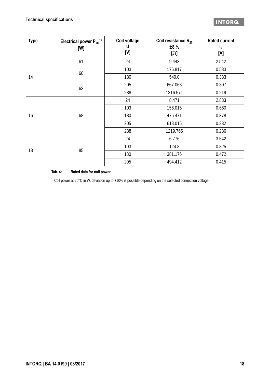| <b>Type</b> | Electrical power $P_{20}$ <sup>1)</sup><br>[W] | Coil voltage<br>U<br>[V] | Coil resistance $R_{20}$<br>±8 %<br>$[\Omega]$ | <b>Rated current</b><br>$I_{N}$<br>[A] |
|-------------|------------------------------------------------|--------------------------|------------------------------------------------|----------------------------------------|
|             | 61                                             | 24                       | 9.443                                          | 2.542                                  |
|             | 60                                             | 103                      | 176.817                                        | 0.583                                  |
| 14          |                                                | 180                      | 540.0                                          | 0.333                                  |
|             | 63                                             | 205                      | 667.063                                        | 0.307                                  |
|             |                                                | 288                      | 1316.571                                       | 0.219                                  |
|             |                                                | 24                       | 8.471                                          | 2.833                                  |
|             |                                                | 103                      | 156.015                                        | 0.660                                  |
| 16          | 68                                             | 180                      | 476.471                                        | 0.378                                  |
|             |                                                | 205                      | 618.015                                        | 0.332                                  |
|             |                                                | 288                      | 1219.765                                       | 0.236                                  |
|             |                                                | 24                       | 6.776                                          | 3.542                                  |
| 18          | 85                                             | 103                      | 124.8                                          | 0.825                                  |
|             |                                                | 180                      | 381.176                                        | 0.472                                  |
|             |                                                | 205                      | 494.412                                        | 0.415                                  |

**Tab. 4: Rated data for coil power**

1) Coil power at 20°C in W, deviation up to +10% is possible depending on the selected connection voltage.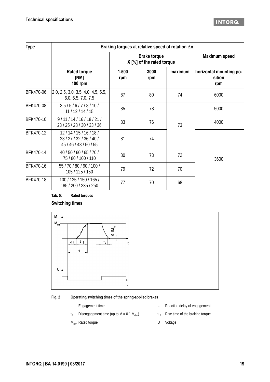### **INTORG**

| <b>Type</b> | Braking torques at relative speed of rotation An             |              |                                                  |         |                                          |  |  |  |
|-------------|--------------------------------------------------------------|--------------|--------------------------------------------------|---------|------------------------------------------|--|--|--|
|             |                                                              |              | <b>Brake torque</b><br>X [%] of the rated torque |         | <b>Maximum speed</b>                     |  |  |  |
|             | <b>Rated torque</b><br>[NM]<br><b>100 rpm</b>                | 1.500<br>rpm | 3000<br>rpm                                      | maximum | horizontal mounting po-<br>sition<br>rpm |  |  |  |
| BFK470-06   | 2.0, 2.5, 3.0, 3.5, 4.0, 4.5, 5.5,<br>6.0, 6.5, 7.0, 7.5     | 87           | 80                                               | 74      | 6000                                     |  |  |  |
| BFK470-08   | 3.5/5/6/7/8/10/<br>11/12/14/15                               | 85           | 78                                               |         | 5000                                     |  |  |  |
| BFK470-10   | 9/11/14/16/18/21/<br>23 / 25 / 28 / 30 / 33 / 36             | 83           | 76                                               | 73      | 4000                                     |  |  |  |
| BFK470-12   | 12/14/15/16/18/<br>23/27/32/36/40/<br>45 / 46 / 48 / 50 / 55 | 81           | 74                                               |         |                                          |  |  |  |
| BFK470-14   | 40 / 50 / 60 / 65 / 70 /<br>75 / 80 / 100 / 110              | 80           | 73                                               | 72      | 3600                                     |  |  |  |
| BFK470-16   | 55 / 70 / 80 / 90 / 100 /<br>105 / 125 / 150                 | 79           | 72                                               | 70      |                                          |  |  |  |
| BFK470-18   | 100 / 125 / 150 / 165 /<br>185 / 200 / 235 / 250             | 77           | 70                                               | 68      |                                          |  |  |  |

### **Tab. 5: Rated torques**

### **Switching times**



### **Fig. 2 Operating/switching times of the spring-applied brakes**

- $t<sub>1</sub>$ Engagement time  $t_{11}$
- $t<sub>2</sub>$ Disengagement time (up to M = 0.1  $M_{dyn}$ ) t<sub>12</sub> Rise time of the braking torque
- $M_{dyn}$  Rated torque U Voltage
- Reaction delay of engagement
- 
-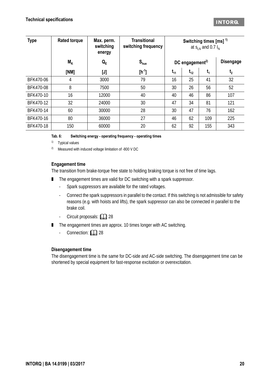| <b>Type</b> | <b>Rated torque</b> | Max. perm.<br>switching<br>energy | <b>Transitional</b><br>switching frequency |          |                             | Switching times $[ms]$ <sup>1)</sup><br>at $S_{LN}$ and 0.7 $I_N$ |                  |
|-------------|---------------------|-----------------------------------|--------------------------------------------|----------|-----------------------------|-------------------------------------------------------------------|------------------|
|             | $M_{K}$             | $Q_E$                             | $S_{\text{hue}}$                           |          | DC engagement <sup>2)</sup> |                                                                   | <b>Disengage</b> |
|             | [NM]                | $[J]$                             | $[h^{-1}]$                                 | $t_{11}$ | $t_{12}$                    | $t_{1}$                                                           | t <sub>2</sub>   |
| BFK470-06   | 4                   | 3000                              | 79                                         | 16       | 25                          | 41                                                                | 32               |
| BFK470-08   | 8                   | 7500                              | 50                                         | 30       | 26                          | 56                                                                | 52               |
| BFK470-10   | 16                  | 12000                             | 40                                         | 40       | 46                          | 86                                                                | 107              |
| BFK470-12   | 32                  | 24000                             | 30                                         | 47       | 34                          | 81                                                                | 121              |
| BFK470-14   | 60                  | 30000                             | 28                                         | 30       | 47                          | 76                                                                | 162              |
| BFK470-16   | 80                  | 36000                             | 27                                         | 46       | 62                          | 109                                                               | 225              |
| BFK470-18   | 150                 | 60000                             | 20                                         | 62       | 92                          | 155                                                               | 343              |

**Tab. 6: Switching energy - operating frequency - operating times**

1) Typical values

2) Measured with induced voltage limitation of -800 V DC

### **Engagement time**

The transition from brake-torque free state to holding braking torque is not free of time lags.

- The engagement times are valid for DC switching with a spark suppressor.
	- Spark suppressors are available for the rated voltages.
	- Connect the spark suppressors in parallel to the contact. If this switching is not admissible for safety reasons (e.g. with hoists and lifts), the spark suppressor can also be connected in parallel to the brake coil.
	- Circuit proposals: **20 [28](#page-27-0)**
- The engagement times are approx. 10 times longer with AC switching.
	- Connection: **QQ** [28](#page-27-1)

### **Disengagement time**

The disengagement time is the same for DC-side and AC-side switching. The disengagement time can be shortened by special equipment for fast-response excitation or overexcitation.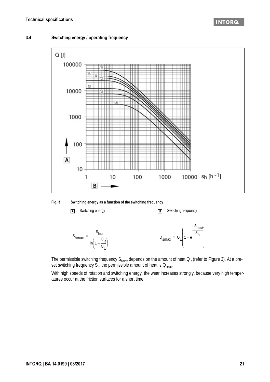### **3.4 Switching energy / operating frequency**



<span id="page-20-0"></span>**Fig. 3 Switching energy as a function of the switching frequency**



The permissible switching frequency S<sub>hmax</sub> depends on the amount of heat  $\mathsf{O}_\mathsf{R}$  (refer to Figure [3](#page-20-0)). At a preset switching frequency  $S_{h'}$  the permissible amount of heat is  $Q_{\sf smax}$ .

With high speeds of rotation and switching energy, the wear increases strongly, because very high temperatures occur at the friction surfaces for a short time.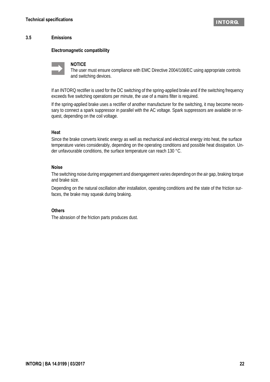### **3.5 Emissions**

### **Electromagnetic compatibility**



### **NOTICE**

The user must ensure compliance with EMC Directive 2004/108/EC using appropriate controls and switching devices.

If an INTORQ rectifier is used for the DC switching of the spring-applied brake and if the switching frequency exceeds five switching operations per minute, the use of a mains filter is required.

If the spring-applied brake uses a rectifier of another manufacturer for the switching, it may become necessary to connect a spark suppressor in parallel with the AC voltage. Spark suppressors are available on request, depending on the coil voltage.

### **Heat**

Since the brake converts kinetic energy as well as mechanical and electrical energy into heat, the surface temperature varies considerably, depending on the operating conditions and possible heat dissipation. Under unfavourable conditions, the surface temperature can reach 130 °C.

### **Noise**

The switching noise during engagement and disengagement varies depending on the air gap, braking torque and brake size.

Depending on the natural oscillation after installation, operating conditions and the state of the friction surfaces, the brake may squeak during braking.

### **Others**

The abrasion of the friction parts produces dust.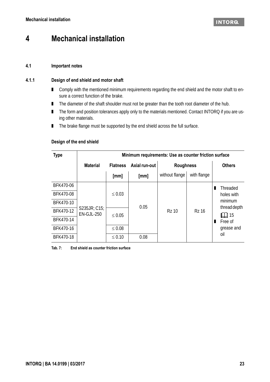# **4 Mechanical installation**

### **4.1 Important notes**

### **4.1.1 Design of end shield and motor shaft**

- Comply with the mentioned minimum requirements regarding the end shield and the motor shaft to ensure a correct function of the brake.
- The diameter of the shaft shoulder must not be greater than the tooth root diameter of the hub.
- The form and position tolerances apply only to the materials mentioned. Contact INTORQ if you are using other materials.
- The brake flange must be supported by the end shield across the full surface.

### <span id="page-22-0"></span>**Design of the end shield**

| <b>Type</b> | Minimum requirements: Use as counter friction surface |                 |               |                  |              |                           |  |
|-------------|-------------------------------------------------------|-----------------|---------------|------------------|--------------|---------------------------|--|
|             | <b>Material</b>                                       | <b>Flatness</b> | Axial run-out | <b>Roughness</b> |              | <b>Others</b>             |  |
|             |                                                       | [mm]            | [mm]          | without flange   | with flange  |                           |  |
| BFK470-06   |                                                       |                 |               |                  |              | Threaded                  |  |
| BFK470-08   |                                                       | $\leq 0.03$     |               |                  |              | holes with                |  |
| BFK470-10   |                                                       |                 | 0.05          |                  |              | minimum                   |  |
| BFK470-12   | S235JR; C15;<br><b>EN-GJL-250</b>                     | $\leq 0.05$     |               | <b>Rz 10</b>     | <b>Rz 16</b> | thread depth<br>$\Box$ 15 |  |
| BFK470-14   |                                                       |                 |               |                  |              | Free of                   |  |
| BFK470-16   |                                                       | $\leq 0.08$     |               |                  |              | grease and                |  |
| BFK470-18   |                                                       | $\leq 0.10$     | 0.08          |                  |              | oil                       |  |

**Tab. 7: End shield as counter friction surface**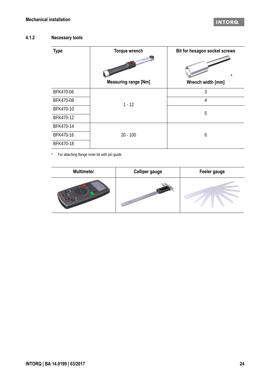### INTORA

### **4.1.2 Necessary tools**

| <b>Type</b> | <b>Torque wrench</b>        | Bit for hexagon socket screws |
|-------------|-----------------------------|-------------------------------|
|             | <b>Measuring range [Nm]</b> | $\ast$<br>Wrench width [mm]   |
| BFK470-06   |                             | 3                             |
| BFK470-08   | $1 - 12$                    | 4                             |
| BFK470-10   |                             | 5                             |
| BFK470-12   |                             |                               |
| BFK470-14   |                             |                               |
| BFK470-16   | $20 - 100$                  | 6                             |
| BFK470-18   |                             |                               |

\* For attaching flange inner bit with pin guide

| <b>Multimeter</b> | <b>Calliper gauge</b> | Feeler gauge |
|-------------------|-----------------------|--------------|
|                   |                       |              |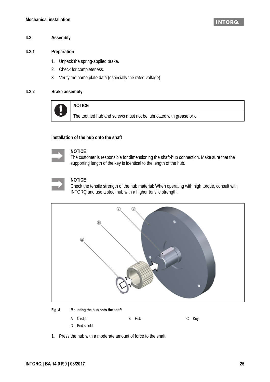### **4.2 Assembly**

### **4.2.1 Preparation**

- 1. Unpack the spring-applied brake.
- 2. Check for completeness.
- 3. Verify the name plate data (especially the rated voltage).

### <span id="page-24-0"></span>**4.2.2 Brake assembly**



**NOTICE**

The toothed hub and screws must not be lubricated with grease or oil.

### **Installation of the hub onto the shaft**



#### **NOTICE**

The customer is responsible for dimensioning the shaft-hub connection. Make sure that the supporting length of the key is identical to the length of the hub.

### **NOTICE**

Check the tensile strength of the hub material: When operating with high torque, consult with INTORQ and use a steel hub with a higher tensile strength.



#### **Fig. 4 Mounting the hub onto the shaft**

- A Circlip B Hub C Key
- D End shield
- 1. Press the hub with a moderate amount of force to the shaft.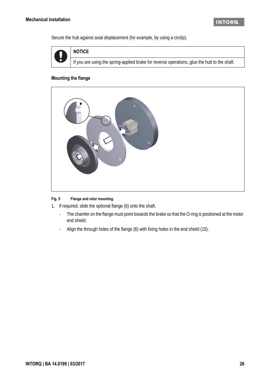Secure the hub against axial displacement (for example, by using a circlip).



If you are using the spring-applied brake for reverse operations, glue the hub to the shaft.

### **Mounting the flange**

**NOTICE**



### **Fig. 5 Flange and rotor mounting**

1. If required, slide the optional flange (6) onto the shaft.

- The chamfer on the flange must point towards the brake so that the O-ring is positioned at the motor end shield.
- Align the through holes of the flange (6) with fixing holes in the end shield (15).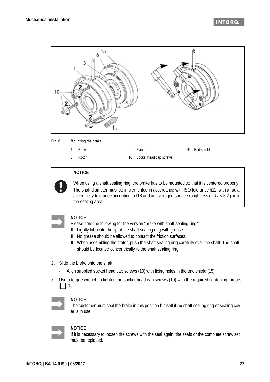

#### **Fig. 6 Mounting the brake**

| Brake   | 6 Flange                  | 15 End shield |
|---------|---------------------------|---------------|
| 3 Rotor | 10 Socket head cap screws |               |



### **NOTICE**

When using a shaft sealing ring, the brake has to be mounted so that it is centered properly! The shaft diameter must be implemented in accordance with ISO tolerance h11, with a radial eccentricity tolerance according to IT8 and an averaged surface roughness of  $Rz \le 3.2 \mu m$  in the sealing area.



### **NOTICE**

Please note the following for the version "brake with shaft sealing ring":

- Lightly lubricate the lip of the shaft sealing ring with grease.
- No grease should be allowed to contact the friction surfaces.
- When assembling the stator, push the shaft sealing ring carefully over the shaft. The shaft should be located concentrically to the shaft sealing ring
- 2. Slide the brake onto the shaft.
	- Align supplied socket head cap screws (10) with fixing holes in the end shield (15).
- 3. Use a torque wrench to tighten the socket head cap screws (10) with the required tightening torque,  $\Box$  [15](#page-14-2).



### **NOTICE**

The customer must seal the brake in this position himself if **no** shaft sealing ring or sealing cover is in use.



### **NOTICE**

If it is necessary to loosen the screws with the seal again, the seals or the complete screw set must be replaced.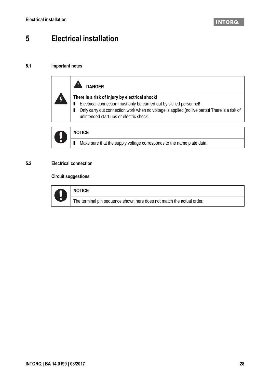# **5 Electrical installation**

### <span id="page-27-1"></span>**5.1 Important notes**

| <b>DANGER</b>                                                                                                                                                                                                                                                        |
|----------------------------------------------------------------------------------------------------------------------------------------------------------------------------------------------------------------------------------------------------------------------|
| There is a risk of injury by electrical shock!<br>■ Electrical connection must only be carried out by skilled personnel!<br>Only carry out connection work when no voltage is applied (no live parts)! There is a risk of<br>unintended start-ups or electric shock. |



### **NOTICE**

■ Make sure that the supply voltage corresponds to the name plate data.

### <span id="page-27-0"></span>**5.2 Electrical connection**

### **Circuit suggestions**



| <b>NOTICE</b>                                                         |  |
|-----------------------------------------------------------------------|--|
| The terminal pin sequence shown here does not match the actual order. |  |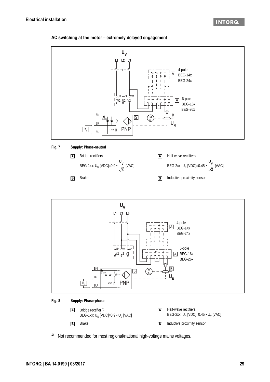### **AC switching at the motor – extremely delayed engagement**



#### **Fig. 8 Supply: Phase-phase**



<sup>1)</sup> Not recommended for most regional/national high-voltage mains voltages.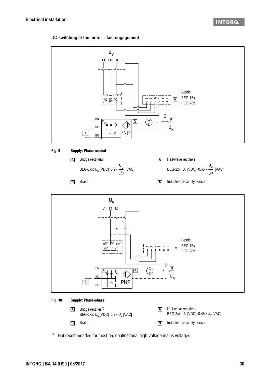### **DC switching at the motor – fast engagement**









#### **Fig. 10 Supply: Phase-phase**



<sup>1)</sup> Not recommended for most regional/national high-voltage mains voltages.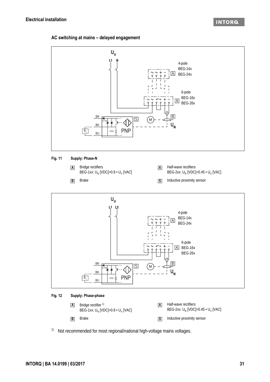### **AC switching at mains – delayed engagement**





### **Fig. 12 Supply: Phase-phase**



<sup>1)</sup> Not recommended for most regional/national high-voltage mains voltages.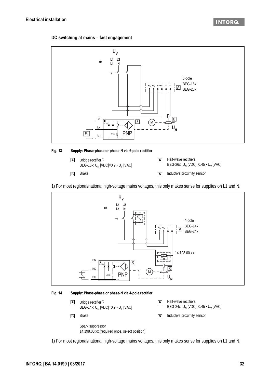### **DC switching at mains – fast engagement**



### **Fig. 13 Supply: Phase-phase or phase-N via 6-pole rectifier**



1) For most regional/national high-voltage mains voltages, this only makes sense for supplies on L1 and N.



#### **Fig. 14 Supply: Phase-phase or phase-N via 4-pole rectifier**



1) For most regional/national high-voltage mains voltages, this only makes sense for supplies on L1 and N.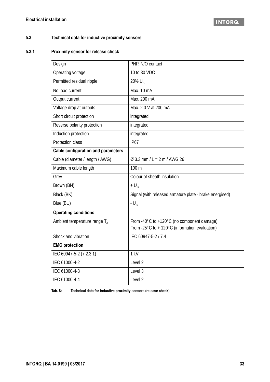### **5.3 Technical data for inductive proximity sensors**

### **5.3.1 Proximity sensor for release check**

| Design                                    | PNP, N/O contact                                                                                                   |
|-------------------------------------------|--------------------------------------------------------------------------------------------------------------------|
| Operating voltage                         | 10 to 30 VDC                                                                                                       |
| Permitted residual ripple                 | 20% $U_{\rm B}$                                                                                                    |
| No-load current                           | Max. 10 mA                                                                                                         |
| Output current                            | Max. 200 mA                                                                                                        |
| Voltage drop at outputs                   | Max. 2.0 V at 200 mA                                                                                               |
| Short circuit protection                  | integrated                                                                                                         |
| Reverse polarity protection               | integrated                                                                                                         |
| Induction protection                      | integrated                                                                                                         |
| Protection class                          | <b>IP67</b>                                                                                                        |
| <b>Cable configuration and parameters</b> |                                                                                                                    |
| Cable (diameter / length / AWG)           | $\varnothing$ 3.3 mm / L = 2 m / AWG 26                                                                            |
| Maximum cable length                      | 100 m                                                                                                              |
| Grey                                      | Colour of sheath insulation                                                                                        |
| Brown (BN)                                | $+U_{B}$                                                                                                           |
| Black (BK)                                | Signal (with released armature plate - brake energised)                                                            |
| Blue (BU)                                 | - $U_R$                                                                                                            |
| <b>Operating conditions</b>               |                                                                                                                    |
| Ambient temperature range $T_A$           | From -40°C to +120°C (no component damage)<br>From -25 $^{\circ}$ C to + 120 $^{\circ}$ C (information evaluation) |
| Shock and vibration                       | IEC 60947-5-2 / 7.4                                                                                                |
| <b>EMC</b> protection                     |                                                                                                                    |
| IEC 60947-5-2 (7.2.3.1)                   | 1 kV                                                                                                               |
| IEC 61000-4-2                             | Level 2                                                                                                            |
| IEC 61000-4-3                             | Level 3                                                                                                            |
| IEC 61000-4-4                             | Level <sub>2</sub>                                                                                                 |

**Tab. 8: Technical data for inductive proximity sensors (release check)**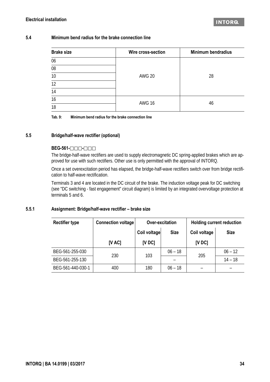### **5.4 Minimum bend radius for the brake connection line**

| <b>Brake size</b> | Wire cross-section | <b>Minimum bendradius</b> |  |
|-------------------|--------------------|---------------------------|--|
| 06                |                    |                           |  |
| 08                |                    |                           |  |
| 10                | <b>AWG 20</b>      | 28                        |  |
| 12                |                    |                           |  |
| 14                |                    |                           |  |
| 16                | <b>AWG 16</b>      |                           |  |
| 18                |                    | 46                        |  |

**Tab. 9: Minimum bend radius for the brake connection line**

### **5.5 Bridge/half-wave rectifier (optional)**

### **BEG-561-**  $\Box$   $\Box$   $\Box$   $\Box$

The bridge-half-wave rectifiers are used to supply electromagnetic DC spring-applied brakes which are approved for use with such rectifiers. Other use is only permitted with the approval of INTORQ.

Once a set overexcitation period has elapsed, the bridge-half-wave rectifiers switch over from bridge rectification to half-wave rectification.

Terminals 3 and 4 are located in the DC circuit of the brake. The induction voltage peak for DC switching (see "DC switching - fast engagement" circuit diagram) is limited by an integrated overvoltage protection at terminals 5 and 6.

### **5.5.1 Assignment: Bridge/half-wave rectifier – brake size**

| <b>Rectifier type</b> | <b>Connection voltage</b> | Over-excitation |             | <b>Holding current reduction</b> |             |
|-----------------------|---------------------------|-----------------|-------------|----------------------------------|-------------|
|                       |                           | Coil voltage    | <b>Size</b> | Coil voltage                     | <b>Size</b> |
|                       | [V AC]                    | <b>IV DC1</b>   |             | [VDC]                            |             |
| BEG-561-255-030       | 230                       | 103             | $06 - 18$   | 205                              | $06 - 12$   |
| BEG-561-255-130       |                           |                 |             |                                  | $14 - 18$   |
| BEG-561-440-030-1     | 400                       | 180             | $06 - 18$   |                                  |             |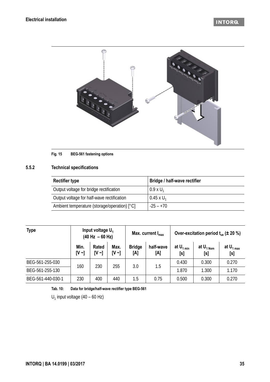### **INTORQ**



#### **Fig. 15 BEG-561 fastening options**

### **5.5.2 Technical specifications**

| <b>Rectifier type</b>                        | Bridge / half-wave rectifier |
|----------------------------------------------|------------------------------|
| Output voltage for bridge rectification      | $0.9 \times U_1$             |
| Output voltage for half-wave rectification   | $0.45 \times U_1$            |
| Ambient temperature (storage/operation) [°C] | $-25 - +70$                  |

| <b>Type</b>       | Input voltage U <sub>1</sub><br>$(40 \text{ Hz} - 60 \text{ Hz})$ |                            | Max. current $I_{max}$ |                      | Over-excitation period $t_{\text{us}}$ ( $\pm$ 20 %) |                       |                               |                       |
|-------------------|-------------------------------------------------------------------|----------------------------|------------------------|----------------------|------------------------------------------------------|-----------------------|-------------------------------|-----------------------|
|                   | Min.<br>$[V \sim]$                                                | <b>Rated</b><br>$[V \sim]$ | Max.<br>$[V \sim]$     | <b>Bridge</b><br>[A] | half-wave<br>[A]                                     | at $U_{1 min}$<br>[s] | at $U_{1\text{ Norm}}$<br>[s] | at $U_{1 max}$<br>[s] |
| BEG-561-255-030   | 160                                                               | 230                        | 255                    | 3.0                  | 1.5                                                  | 0.430                 | 0.300                         | 0.270                 |
| BEG-561-255-130   |                                                                   |                            |                        |                      |                                                      | 1.870                 | 1.300                         | 1.170                 |
| BEG-561-440-030-1 | 230                                                               | 400                        | 440                    | 1.5                  | 0.75                                                 | 0.500                 | 0.300                         | 0.270                 |

**Tab. 10: Data for bridge/half-wave rectifier type BEG-561**

 $U_1$  input voltage (40 – 60 Hz)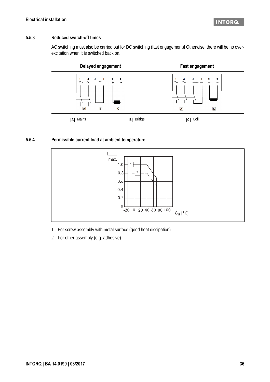### **5.5.3 Reduced switch-off times**

AC switching must also be carried out for DC switching (fast engagement)! Otherwise, there will be no overexcitation when it is switched back on.



### **5.5.4 Permissible current load at ambient temperature**



- 1 For screw assembly with metal surface (good heat dissipation)
- 2 For other assembly (e.g. adhesive)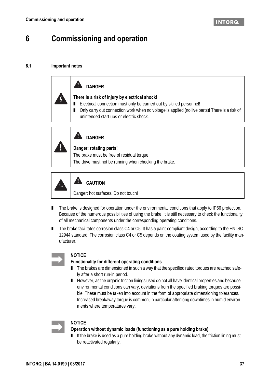# <span id="page-36-0"></span>**6 Commissioning and operation**

### **6.1 Important notes**

| <b>DANGER</b>                                                                                                                                                                                                                                                      |  |  |  |  |  |
|--------------------------------------------------------------------------------------------------------------------------------------------------------------------------------------------------------------------------------------------------------------------|--|--|--|--|--|
| There is a risk of injury by electrical shock!<br>Electrical connection must only be carried out by skilled personnel!<br>Only carry out connection work when no voltage is applied (no live parts)! There is a risk of<br>unintended start-ups or electric shock. |  |  |  |  |  |



### **AL** DANGER

### **Danger: rotating parts!**

The brake must be free of residual torque. The drive must not be running when checking the brake.



#### A  **CAUTION**

Danger: hot surfaces. Do not touch!

- The brake is designed for operation under the environmental conditions that apply to IP66 protection. Because of the numerous possibilities of using the brake, it is still necessary to check the functionality of all mechanical components under the corresponding operating conditions.
- The brake facilitates corrosion class C4 or C5. It has a paint-compliant design, according to the EN ISO 12944 standard. The corrosion class C4 or C5 depends on the coating system used by the facility manufacturer.



### **NOTICE**

### **Functionality for different operating conditions**

- The brakes are dimensioned in such a way that the specified rated torques are reached safely after a short run-in period.
- However, as the organic friction linings used do not all have identical properties and because environmental conditions can vary, deviations from the specified braking torques are possible. These must be taken into account in the form of appropriate dimensioning tolerances. Increased breakaway torque is common, in particular after long downtimes in humid environments where temperatures vary.



### **NOTICE**

### **Operation without dynamic loads (functioning as a pure holding brake)**

■ If the brake is used as a pure holding brake without any dynamic load, the friction lining must be reactivated regularly.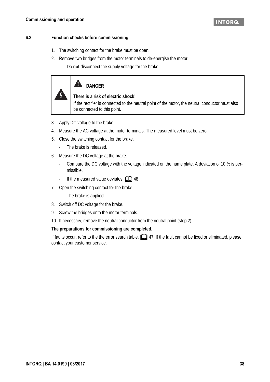### **6.2 Function checks before commissioning**

- 1. The switching contact for the brake must be open.
- 2. Remove two bridges from the motor terminals to de-energise the motor.
	- Do **not** disconnect the supply voltage for the brake.

# A DANGER

 $\frac{1}{2}$ 

### **There is a risk of electric shock!**

If the rectifier is connected to the neutral point of the motor, the neutral conductor must also be connected to this point.

- 3. Apply DC voltage to the brake.
- 4. Measure the AC voltage at the motor terminals. The measured level must be zero.
- 5. Close the switching contact for the brake.
	- The brake is released.
- 6. Measure the DC voltage at the brake.
	- Compare the DC voltage with the voltage indicated on the name plate. A deviation of 10 % is permissible.
	- If the measured value deviates:  $\Box$  [48](#page-47-0)
- 7. Open the switching contact for the brake.
	- The brake is applied.
- 8. Switch off DC voltage for the brake.
- 9. Screw the bridges onto the motor terminals.
- 10. If necessary, remove the neutral conductor from the neutral point (step 2).

### **The preparations for commissioning are completed.**

If faults occur, refer to the the error search table,  $\Box$  [47](#page-46-0). If the fault cannot be fixed or eliminated, please contact your customer service.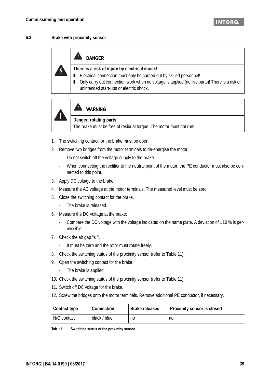### **6.3 Brake with proximity sensor**



### **A** DANGER

### **There is a risk of injury by electrical shock!**

- Electrical connection must only be carried out by skilled personnel!
- Only carry out connection work when no voltage is applied (no live parts)! There is a risk of unintended start-ups or electric shock.



# **WARNING**

### **Danger: rotating parts!**

The brake must be free of residual torque. The motor must not run!

- 1. The switching contact for the brake must be open.
- 2. Remove two bridges from the motor terminals to de-energise the motor.
	- Do not switch off the voltage supply to the brake.
	- When connecting the rectifier to the neutral point of the motor, the PE conductor must also be connected to this point.
- 3. Apply DC voltage to the brake.
- 4. Measure the AC voltage at the motor terminals. The measured level must be zero.
- 5. Close the switching contact for the brake.
	- The brake is released.
- 6. Measure the DC voltage at the brake:
	- Compare the DC voltage with the voltage indicated on the name plate. A deviation of  $\pm 10$  % is permissible.
- 7. Check the air gap " $s_1$ ".
	- It must be zero and the rotor must rotate freely.
- 8. Check the switching status of the proximity sensor (refer to Table [11\)](#page-38-0).
- 9. Open the switching contact for the brake.
	- The brake is applied.
- 10. Check the switching status of the proximity sensor (refer to Table [11\)](#page-38-0).
- 11. Switch off DC voltage for the brake.
- 12. Screw the bridges onto the motor terminals. Remove additional PE conductor, if necessary.

| <b>Contact type</b> | <b>Connection</b> | <b>Brake released</b> | <b>Proximity sensor is closed</b> |
|---------------------|-------------------|-----------------------|-----------------------------------|
| N/O contact         | black / blue      | no                    | no                                |

<span id="page-38-0"></span>

| Tab. 11: | Switching status of the proximity sensor |
|----------|------------------------------------------|
|----------|------------------------------------------|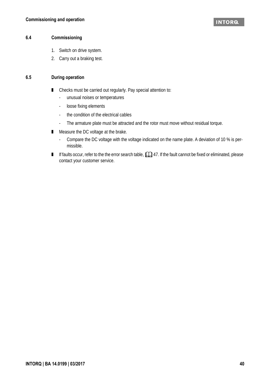### **6.4 Commissioning**

- 1. Switch on drive system.
- 2. Carry out a braking test.

### **6.5 During operation**

- Checks must be carried out regularly. Pay special attention to:
	- unusual noises or temperatures
	- loose fixing elements
	- the condition of the electrical cables
	- The armature plate must be attracted and the rotor must move without residual torque.
- Measure the DC voltage at the brake.
	- Compare the DC voltage with the voltage indicated on the name plate. A deviation of 10 % is permissible.
- If faults occur, refer to the the error search table,  $\Box$  [47](#page-46-0). If the fault cannot be fixed or eliminated, please contact your customer service.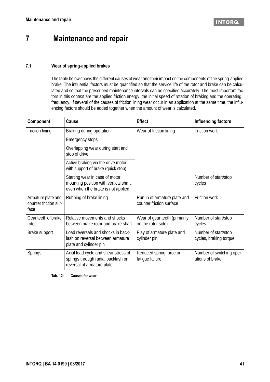# **7 Maintenance and repair**

### **7.1 Wear of spring-applied brakes**

The table below shows the different causes of wear and their impact on the components of the spring-applied brake. The influential factors must be quantified so that the service life of the rotor and brake can be calculated and so that the prescribed maintenance intervals can be specified accurately. The most important factors in this context are the applied friction energy, the initial speed of rotation of braking and the operating frequency. If several of the causes of friction lining wear occur in an application at the same time, the influencing factors should be added together when the amount of wear is calculated.

| Component                                           | Cause                                                                                                          | <b>Effect</b>                                            | Influencing factors                            |
|-----------------------------------------------------|----------------------------------------------------------------------------------------------------------------|----------------------------------------------------------|------------------------------------------------|
| Friction lining                                     | Braking during operation                                                                                       | Wear of friction lining                                  | Friction work                                  |
|                                                     | Emergency stops                                                                                                |                                                          |                                                |
|                                                     | Overlapping wear during start and<br>stop of drive                                                             |                                                          |                                                |
|                                                     | Active braking via the drive motor<br>with support of brake (quick stop)                                       |                                                          |                                                |
|                                                     | Starting wear in case of motor<br>mounting position with vertical shaft,<br>even when the brake is not applied |                                                          | Number of start/stop<br>cycles                 |
| Armature plate and<br>counter friction sur-<br>face | Rubbing of brake lining                                                                                        | Run-in of armature plate and<br>counter friction surface | Friction work                                  |
| Gear teeth of brake<br>rotor                        | Relative movements and shocks<br>between brake rotor and brake shaft                                           | Wear of gear teeth (primarily<br>on the rotor side)      | Number of start/stop<br>cycles                 |
| Brake support                                       | Load reversals and shocks in back-<br>lash on reversal between armature<br>plate and cylinder pin              | Play of armature plate and<br>cylinder pin               | Number of start/stop<br>cycles, braking torque |
| <b>Springs</b>                                      | Axial load cycle and shear stress of<br>springs through radial backlash on<br>reversal of armature plate       | Reduced spring force or<br>fatigue failure               | Number of switching oper-<br>ations of brake   |

<span id="page-40-0"></span>**Tab. 12: Causes for wear**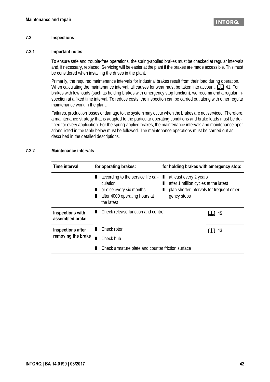### **7.2 Inspections**

### **7.2.1 Important notes**

To ensure safe and trouble-free operations, the spring-applied brakes must be checked at regular intervals and, if necessary, replaced. Servicing will be easier at the plant if the brakes are made accessible. This must be considered when installing the drives in the plant.

Primarily, the required maintenance intervals for industrial brakes result from their load during operation. When calculating the maintenance interval, all causes for wear must be taken into account,  $\Box$  [41.](#page-40-0) For brakes with low loads (such as holding brakes with emergency stop function), we recommend a regular inspection at a fixed time interval. To reduce costs, the inspection can be carried out along with other regular maintenance work in the plant.

Failures, production losses or damage to the system may occur when the brakes are not serviced. Therefore, a maintenance strategy that is adapted to the particular operating conditions and brake loads must be defined for every application. For the spring-applied brakes, the maintenance intervals and maintenance operations listed in the table below must be followed. The maintenance operations must be carried out as described in the detailed descriptions.

### **7.2.2 Maintenance intervals**

| Time interval                       | for operating brakes:                                                                                                          | for holding brakes with emergency stop:                                                                                    |
|-------------------------------------|--------------------------------------------------------------------------------------------------------------------------------|----------------------------------------------------------------------------------------------------------------------------|
|                                     | according to the service life cal-<br>п<br>culation<br>or else every six months<br>after 4000 operating hours at<br>the latest | at least every 2 years<br>after 1 million cycles at the latest<br>plan shorter intervals for frequent emer-<br>gency stops |
| Inspections with<br>assembled brake | Check release function and control                                                                                             | 45                                                                                                                         |
| Inspections after                   | Check rotor                                                                                                                    | 43                                                                                                                         |
| removing the brake                  | Check hub                                                                                                                      |                                                                                                                            |
|                                     | Check armature plate and counter friction surface                                                                              |                                                                                                                            |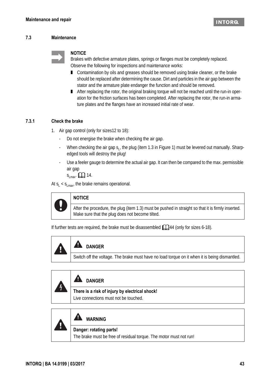**INTORG** 

### **7.3 Maintenance**



### **NOTICE**

Brakes with defective armature plates, springs or flanges must be completely replaced. Observe the following for inspections and maintenance works:

- Contamination by oils and greases should be removed using brake cleaner, or the brake should be replaced after determining the cause. Dirt and particles in the air gap between the stator and the armature plate endanger the function and should be removed.
- After replacing the rotor, the original braking torque will not be reached until the run-in operation for the friction surfaces has been completed. After replacing the rotor, the run-in armature plates and the flanges have an increased initial rate of wear.

### <span id="page-42-0"></span>**7.3.1 Check the brake**

- 1. Air gap control (only for sizes12 to 18):
	- Do not energise the brake when checking the air gap.
	- When checking the air gap  $s<sub>L</sub>$ , the plug (item [1](#page-11-0).3 in Figure 1) must be levered out manually. Sharpedged tools will destroy the plug!
	- Use a feeler gauge to determine the actual air gap. It can then be compared to the max. permissible air gap

 $S_{Lmax}$ .  $\Box$  [14](#page-13-0).

At  $s_1 < s_{\text{Lmax}}$ , the brake remains operational.

### **NOTICE**

After the procedure, the plug (item 1.3) must be pushed in straight so that it is firmly inserted. Make sure that the plug does not become tilted.

If further tests are required, the brake must be disassembled  $\Box$  [44](#page-43-0) (only for sizes 6-18).

| <b>ALL</b> DANGER                                                                             |
|-----------------------------------------------------------------------------------------------|
| Switch off the voltage. The brake must have no load torque on it when it is being dismantled. |

| И | <b>DANGER</b>                                                                           |
|---|-----------------------------------------------------------------------------------------|
|   | There is a risk of injury by electrical shock!<br>Live connections must not be touched. |

|  | <b>WARNING</b><br>-3                                                                          |
|--|-----------------------------------------------------------------------------------------------|
|  | Danger: rotating parts!<br>The brake must be free of residual torque. The motor must not run! |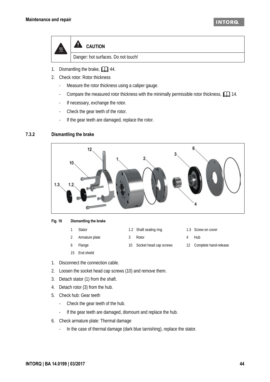**INTORG** 



- 1. Dismantling the brake,  $\Box$  [44](#page-43-0).
- 2. Check rotor: Rotor thickness
	- Measure the rotor thickness using a caliper gauge.
	- Compare the measured rotor thickness with the minimally permissible rotor thickness,  $\Box$  [14](#page-13-1).
	- If necessary, exchange the rotor.
	- Check the gear teeth of the rotor.
	- If the gear teeth are damaged, replace the rotor.

### <span id="page-43-0"></span>**7.3.2 Dismantling the brake**



### **Fig. 16 Dismantling the brake**

- 
- 2 Armature plate 3 Rotor 4 Hub
- 6 Flange 10 Socket head cap screws 12 Complete hand-release
- 15 End shield
- 1 Stator 1.2 Shaft sealing ring 1.3 Screw-on cover
	-
- 
- 

- 1. Disconnect the connection cable.
- 2. Loosen the socket head cap screws (10) and remove them.
- 3. Detach stator (1) from the shaft.
- 4. Detach rotor (3) from the hub.
- 5. Check hub: Gear teeth
	- Check the gear teeth of the hub.
	- If the gear teeth are damaged, dismount and replace the hub.
- 6. Check armature plate: Thermal damage
	- In the case of thermal damage (dark blue tarnishing), replace the stator.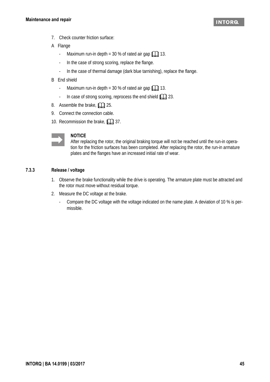- 7. Check counter friction surface:
- A Flange
	- Maximum run-in depth =  $30\%$  of rated air gap  $\Box$  13.
	- In the case of strong scoring, replace the flange.
	- In the case of thermal damage (dark blue tarnishing), replace the flange.
- B End shield
	- Maximum run-in depth = 30 % of rated air gap  $\Box$  13.
	- In case of strong scoring, reprocess the end shield  $\Box$  [23.](#page-22-0)
- 8. Assemble the brake,  $\Box$  [25.](#page-24-0)
- 9. Connect the connection cable.
- 10. Recommission the brake,  $\Box$  [37](#page-36-0).



### **NOTICE**

After replacing the rotor, the original braking torque will not be reached until the run-in operation for the friction surfaces has been completed. After replacing the rotor, the run-in armature plates and the flanges have an increased initial rate of wear.

### <span id="page-44-0"></span>**7.3.3 Release / voltage**

- 1. Observe the brake functionality while the drive is operating. The armature plate must be attracted and the rotor must move without residual torque.
- 2. Measure the DC voltage at the brake.
	- Compare the DC voltage with the voltage indicated on the name plate. A deviation of 10 % is permissible.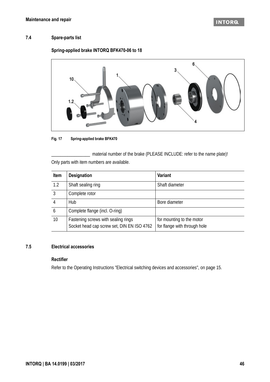### **7.4 Spare-parts list**

### **Spring-applied brake INTORQ BFK470-06 to 18**



### **Fig. 17 Spring-applied brake BFK470**

\_\_\_\_\_\_\_\_\_\_\_\_\_\_\_\_\_ material number of the brake (PLEASE INCLUDE: refer to the name plate)! Only parts with item numbers are available.

| Item            | <b>Designation</b>                                                                | <b>Variant</b>                                            |
|-----------------|-----------------------------------------------------------------------------------|-----------------------------------------------------------|
| 1.2             | Shaft sealing ring                                                                | Shaft diameter                                            |
| 3               | Complete rotor                                                                    |                                                           |
| 4               | Hub                                                                               | Bore diameter                                             |
| 6               | Complete flange (incl. O-ring)                                                    |                                                           |
| 10 <sup>°</sup> | Fastening screws with sealing rings<br>Socket head cap screw set, DIN EN ISO 4762 | for mounting to the motor<br>for flange with through hole |

### **7.5 Electrical accessories**

### **Rectifier**

Refer to the Operating Instructions "Electrical switching devices and accessories", on page 15.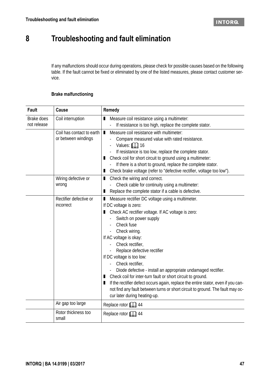# **8 Troubleshooting and fault elimination**

If any malfunctions should occur during operations, please check for possible causes based on the following table. If the fault cannot be fixed or eliminated by one of the listed measures, please contact customer service.

### **Brake malfunctioning**

<span id="page-46-0"></span>

| <b>Fault</b>              | <b>Cause</b>                                     | Remedy                                                                                                                                                                                                                                                                                                                                                                                                                                                                                                                                                                                                                                                                             |
|---------------------------|--------------------------------------------------|------------------------------------------------------------------------------------------------------------------------------------------------------------------------------------------------------------------------------------------------------------------------------------------------------------------------------------------------------------------------------------------------------------------------------------------------------------------------------------------------------------------------------------------------------------------------------------------------------------------------------------------------------------------------------------|
| Brake does<br>not release | Coil interruption                                | Measure coil resistance using a multimeter:<br>$\mathbf{r}$                                                                                                                                                                                                                                                                                                                                                                                                                                                                                                                                                                                                                        |
|                           | Coil has contact to earth<br>or between windings | If resistance is too high, replace the complete stator.<br>Measure coil resistance with multimeter:<br>$\blacksquare$<br>Compare measured value with rated resistance.<br>Values: $\Box$ 16<br>If resistance is too low, replace the complete stator.<br>Check coil for short circuit to ground using a multimeter:<br>п<br>If there is a short to ground, replace the complete stator.<br>Check brake voltage (refer to "defective rectifier, voltage too low").<br>п                                                                                                                                                                                                             |
|                           | Wiring defective or<br>wrong                     | ■ Check the wiring and correct.<br>Check cable for continuity using a multimeter:<br>Replace the complete stator if a cable is defective.<br>п                                                                                                                                                                                                                                                                                                                                                                                                                                                                                                                                     |
|                           | Rectifier defective or<br>incorrect              | Measure rectifier DC voltage using a multimeter.<br>П<br>If DC voltage is zero:<br>Check AC rectifier voltage. If AC voltage is zero:<br>п<br>Switch on power supply<br>Check fuse<br>Check wiring.<br>If AC voltage is okay:<br>Check rectifier,<br>Replace defective rectifier<br>If DC voltage is too low:<br>Check rectifier,<br>Diode defective - install an appropriate undamaged rectifier.<br>Check coil for inter-turn fault or short circuit to ground.<br>П<br>If the rectifier defect occurs again, replace the entire stator, even if you can-<br>п<br>not find any fault between turns or short circuit to ground. The fault may oc-<br>cur later during heating-up. |
|                           | Air gap too large                                | Replace rotor <b>QQ</b> 44                                                                                                                                                                                                                                                                                                                                                                                                                                                                                                                                                                                                                                                         |
|                           | Rotor thickness too<br>small                     | Replace rotor $\Box$ 44                                                                                                                                                                                                                                                                                                                                                                                                                                                                                                                                                                                                                                                            |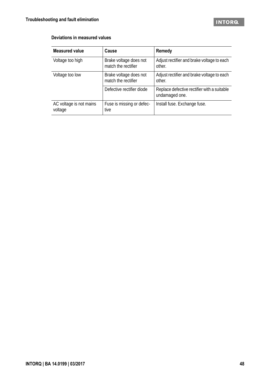### <span id="page-47-0"></span>**Deviations in measured values**

| <b>Measured value</b>              | Cause                                         | Remedy                                                        |
|------------------------------------|-----------------------------------------------|---------------------------------------------------------------|
| Voltage too high                   | Brake voltage does not<br>match the rectifier | Adjust rectifier and brake voltage to each<br>other.          |
| Voltage too low                    | Brake voltage does not<br>match the rectifier | Adjust rectifier and brake voltage to each<br>other.          |
|                                    | Defective rectifier diode                     | Replace defective rectifier with a suitable<br>undamaged one. |
| AC voltage is not mains<br>voltage | Fuse is missing or defec-<br>tive             | Install fuse. Exchange fuse.                                  |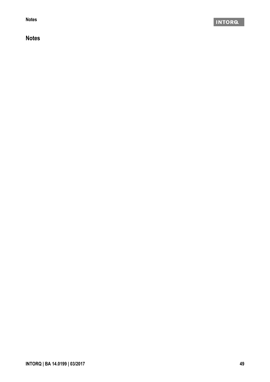**Notes**

### **Notes**